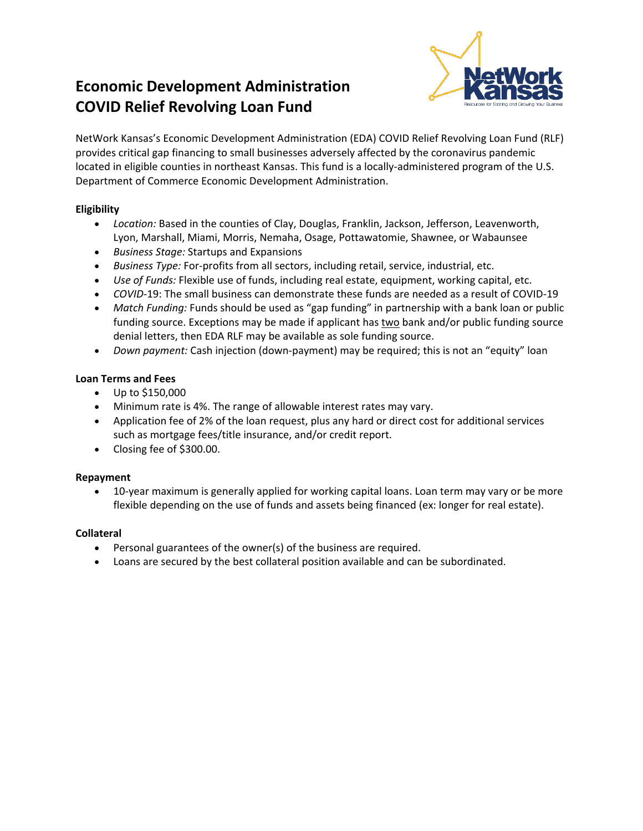# **Economic Development Administration COVID Relief Revolving Loan Fund**



NetWork Kansas's Economic Development Administration (EDA) COVID Relief Revolving Loan Fund (RLF) provides critical gap financing to small businesses adversely affected by the coronavirus pandemic located in eligible counties in northeast Kansas. This fund is a locally-administered program of the U.S. Department of Commerce Economic Development Administration.

### **Eligibility**

- *Location:* Based in the counties of Clay, Douglas, Franklin, Jackson, Jefferson, Leavenworth, Lyon, Marshall, Miami, Morris, Nemaha, Osage, Pottawatomie, Shawnee, or Wabaunsee
- *Business Stage:* Startups and Expansions
- *Business Type:* For-profits from all sectors, including retail, service, industrial, etc.
- *Use of Funds:* Flexible use of funds, including real estate, equipment, working capital, etc.
- *COVID-*19: The small business can demonstrate these funds are needed as a result of COVID-19
- *Match Funding:* Funds should be used as "gap funding" in partnership with a bank loan or public funding source. Exceptions may be made if applicant has two bank and/or public funding source denial letters, then EDA RLF may be available as sole funding source.
- *Down payment:* Cash injection (down-payment) may be required; this is not an "equity" loan

#### **Loan Terms and Fees**

- Up to \$150,000
- Minimum rate is 4%. The range of allowable interest rates may vary.
- Application fee of 2% of the loan request, plus any hard or direct cost for additional services such as mortgage fees/title insurance, and/or credit report.
- Closing fee of \$300.00.

#### **Repayment**

• 10-year maximum is generally applied for working capital loans. Loan term may vary or be more flexible depending on the use of funds and assets being financed (ex: longer for real estate).

#### **Collateral**

- Personal guarantees of the owner(s) of the business are required.
- Loans are secured by the best collateral position available and can be subordinated.